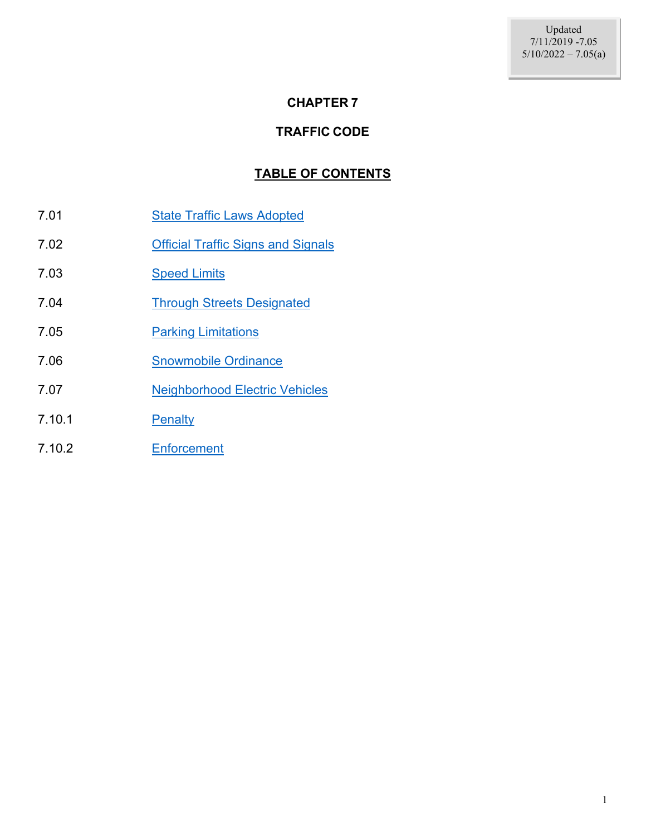#### **CHAPTER 7**

#### **TRAFFIC CODE**

#### **TABLE OF CONTENTS**

- 7.01 [State Traffic Laws Adopted](#page-1-0)
- 7.02 [Official Traffic Signs and Signals](#page-1-1)
- 7.03 [Speed Limits](#page-1-2)
- 7.04 [Through Streets Designated](#page-1-3)
- 7.05 **[Parking Limitations](#page-1-4)**
- 7.06 [Snowmobile Ordinance](#page-2-0)
- 7.07 [Neighborhood Electric Vehicles](#page-3-0)
- 7.10.1 [Penalty](#page-4-0)
- 7.10.2 [Enforcement](#page-4-1)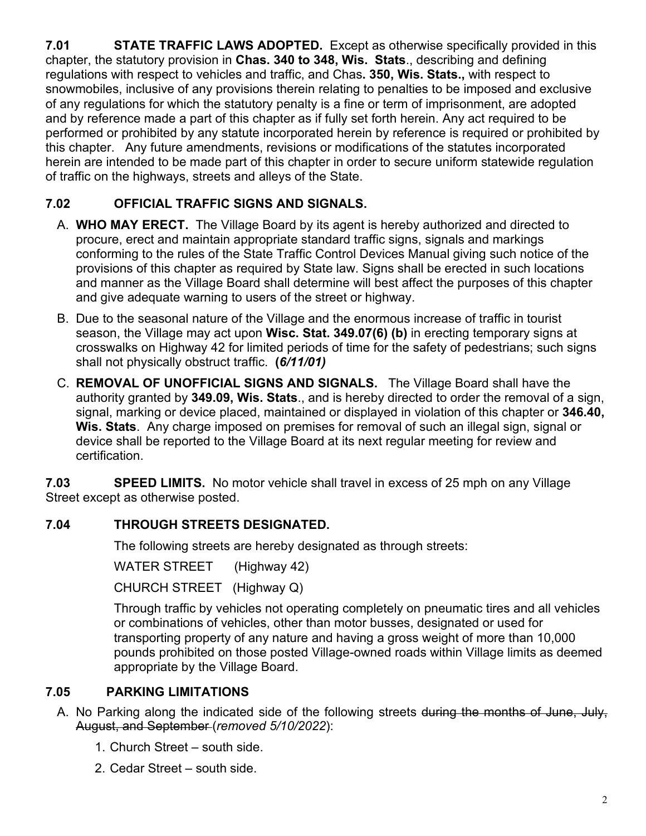<span id="page-1-0"></span>**7.01 STATE TRAFFIC LAWS ADOPTED.** Except as otherwise specifically provided in this chapter, the statutory provision in **Chas. 340 to 348, Wis. Stats**., describing and defining regulations with respect to vehicles and traffic, and Chas**. 350, Wis. Stats.,** with respect to snowmobiles, inclusive of any provisions therein relating to penalties to be imposed and exclusive of any regulations for which the statutory penalty is a fine or term of imprisonment, are adopted and by reference made a part of this chapter as if fully set forth herein. Any act required to be performed or prohibited by any statute incorporated herein by reference is required or prohibited by this chapter. Any future amendments, revisions or modifications of the statutes incorporated herein are intended to be made part of this chapter in order to secure uniform statewide regulation of traffic on the highways, streets and alleys of the State.

# **7.02 OFFICIAL TRAFFIC SIGNS AND SIGNALS.**

- <span id="page-1-1"></span>A. **WHO MAY ERECT.** The Village Board by its agent is hereby authorized and directed to procure, erect and maintain appropriate standard traffic signs, signals and markings conforming to the rules of the State Traffic Control Devices Manual giving such notice of the provisions of this chapter as required by State law. Signs shall be erected in such locations and manner as the Village Board shall determine will best affect the purposes of this chapter and give adequate warning to users of the street or highway.
- B. Due to the seasonal nature of the Village and the enormous increase of traffic in tourist season, the Village may act upon **Wisc. Stat. 349.07(6) (b)** in erecting temporary signs at crosswalks on Highway 42 for limited periods of time for the safety of pedestrians; such signs shall not physically obstruct traffic. **(***6/11/01)*
- C. **REMOVAL OF UNOFFICIAL SIGNS AND SIGNALS.** The Village Board shall have the authority granted by **349.09, Wis. Stats**., and is hereby directed to order the removal of a sign, signal, marking or device placed, maintained or displayed in violation of this chapter or **346.40, Wis. Stats**. Any charge imposed on premises for removal of such an illegal sign, signal or device shall be reported to the Village Board at its next regular meeting for review and certification.

**7.03 SPEED LIMITS.** No motor vehicle shall travel in excess of 25 mph on any Village Street except as otherwise posted.

## **7.04 THROUGH STREETS DESIGNATED.**

<span id="page-1-3"></span><span id="page-1-2"></span>The following streets are hereby designated as through streets:

WATER STREET (Highway 42)

CHURCH STREET (Highway Q)

Through traffic by vehicles not operating completely on pneumatic tires and all vehicles or combinations of vehicles, other than motor busses, designated or used for transporting property of any nature and having a gross weight of more than 10,000 pounds prohibited on those posted Village-owned roads within Village limits as deemed appropriate by the Village Board.

## **7.05 PARKING LIMITATIONS**

- <span id="page-1-4"></span>A. No Parking along the indicated side of the following streets during the months of June, July, August, and September (*removed 5/10/2022*):
	- 1. Church Street south side.
	- 2. Cedar Street south side.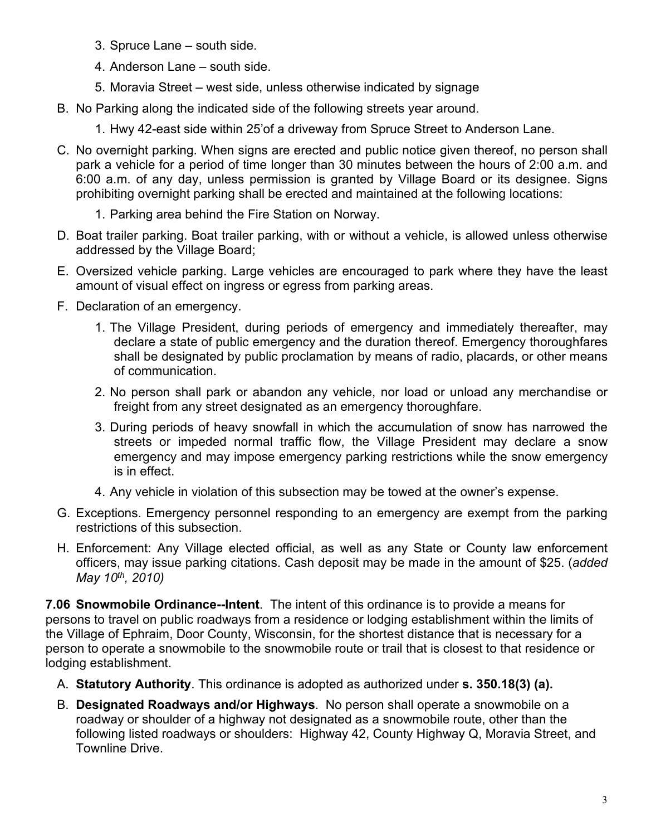- 3. Spruce Lane south side.
- 4. Anderson Lane south side.
- 5. Moravia Street west side, unless otherwise indicated by signage
- B. No Parking along the indicated side of the following streets year around.
	- 1. Hwy 42-east side within 25'of a driveway from Spruce Street to Anderson Lane.
- C. No overnight parking. When signs are erected and public notice given thereof, no person shall park a vehicle for a period of time longer than 30 minutes between the hours of 2:00 a.m. and 6:00 a.m. of any day, unless permission is granted by Village Board or its designee. Signs prohibiting overnight parking shall be erected and maintained at the following locations:
	- 1. Parking area behind the Fire Station on Norway.
- D. Boat trailer parking. Boat trailer parking, with or without a vehicle, is allowed unless otherwise addressed by the Village Board;
- E. Oversized vehicle parking. Large vehicles are encouraged to park where they have the least amount of visual effect on ingress or egress from parking areas.
- F. Declaration of an emergency.
	- 1. The Village President, during periods of emergency and immediately thereafter, may declare a state of public emergency and the duration thereof. Emergency thoroughfares shall be designated by public proclamation by means of radio, placards, or other means of communication.
	- 2. No person shall park or abandon any vehicle, nor load or unload any merchandise or freight from any street designated as an emergency thoroughfare.
	- 3. During periods of heavy snowfall in which the accumulation of snow has narrowed the streets or impeded normal traffic flow, the Village President may declare a snow emergency and may impose emergency parking restrictions while the snow emergency is in effect.
	- 4. Any vehicle in violation of this subsection may be towed at the owner's expense.
- G. Exceptions. Emergency personnel responding to an emergency are exempt from the parking restrictions of this subsection.
- H. Enforcement: Any Village elected official, as well as any State or County law enforcement officers, may issue parking citations. Cash deposit may be made in the amount of \$25. (*added May 10th, 2010)*

<span id="page-2-0"></span>**7.06 Snowmobile Ordinance--Intent**. The intent of this ordinance is to provide a means for persons to travel on public roadways from a residence or lodging establishment within the limits of the Village of Ephraim, Door County, Wisconsin, for the shortest distance that is necessary for a person to operate a snowmobile to the snowmobile route or trail that is closest to that residence or lodging establishment.

- A. **Statutory Authority**. This ordinance is adopted as authorized under **s. 350.18(3) (a).**
- B. **Designated Roadways and/or Highways**. No person shall operate a snowmobile on a roadway or shoulder of a highway not designated as a snowmobile route, other than the following listed roadways or shoulders: Highway 42, County Highway Q, Moravia Street, and Townline Drive.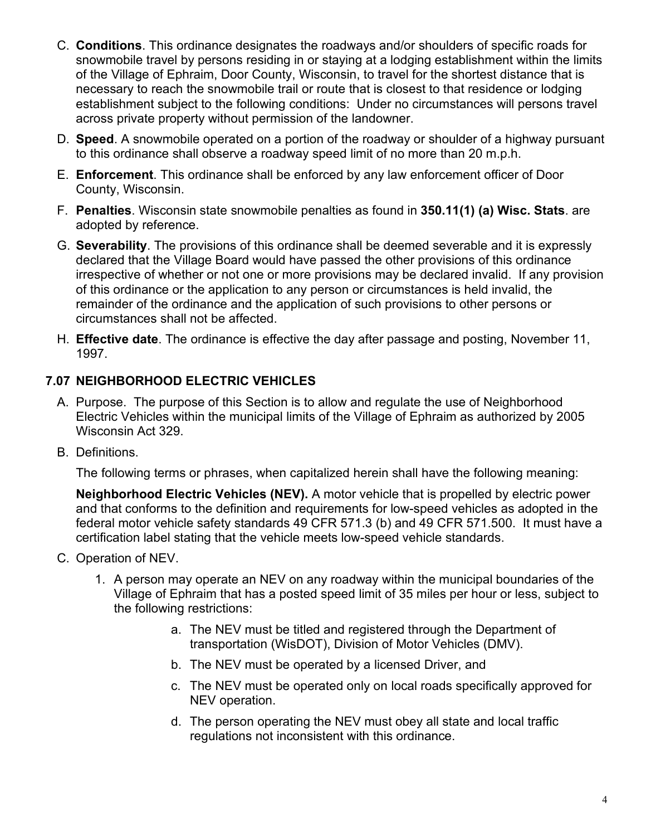- C. **Conditions**. This ordinance designates the roadways and/or shoulders of specific roads for snowmobile travel by persons residing in or staying at a lodging establishment within the limits of the Village of Ephraim, Door County, Wisconsin, to travel for the shortest distance that is necessary to reach the snowmobile trail or route that is closest to that residence or lodging establishment subject to the following conditions: Under no circumstances will persons travel across private property without permission of the landowner.
- D. **Speed**. A snowmobile operated on a portion of the roadway or shoulder of a highway pursuant to this ordinance shall observe a roadway speed limit of no more than 20 m.p.h.
- E. **Enforcement**. This ordinance shall be enforced by any law enforcement officer of Door County, Wisconsin.
- F. **Penalties**. Wisconsin state snowmobile penalties as found in **350.11(1) (a) Wisc. Stats**. are adopted by reference.
- G. **Severability**. The provisions of this ordinance shall be deemed severable and it is expressly declared that the Village Board would have passed the other provisions of this ordinance irrespective of whether or not one or more provisions may be declared invalid. If any provision of this ordinance or the application to any person or circumstances is held invalid, the remainder of the ordinance and the application of such provisions to other persons or circumstances shall not be affected.
- H. **Effective date**. The ordinance is effective the day after passage and posting, November 11, 1997.

## <span id="page-3-0"></span>**7.07 NEIGHBORHOOD ELECTRIC VEHICLES**

- A. Purpose. The purpose of this Section is to allow and regulate the use of Neighborhood Electric Vehicles within the municipal limits of the Village of Ephraim as authorized by 2005 Wisconsin Act 329.
- B. Definitions.

The following terms or phrases, when capitalized herein shall have the following meaning:

**Neighborhood Electric Vehicles (NEV).** A motor vehicle that is propelled by electric power and that conforms to the definition and requirements for low-speed vehicles as adopted in the federal motor vehicle safety standards 49 CFR 571.3 (b) and 49 CFR 571.500. It must have a certification label stating that the vehicle meets low-speed vehicle standards.

- C. Operation of NEV.
	- 1. A person may operate an NEV on any roadway within the municipal boundaries of the Village of Ephraim that has a posted speed limit of 35 miles per hour or less, subject to the following restrictions:
		- a. The NEV must be titled and registered through the Department of transportation (WisDOT), Division of Motor Vehicles (DMV).
		- b. The NEV must be operated by a licensed Driver, and
		- c. The NEV must be operated only on local roads specifically approved for NEV operation.
		- d. The person operating the NEV must obey all state and local traffic regulations not inconsistent with this ordinance.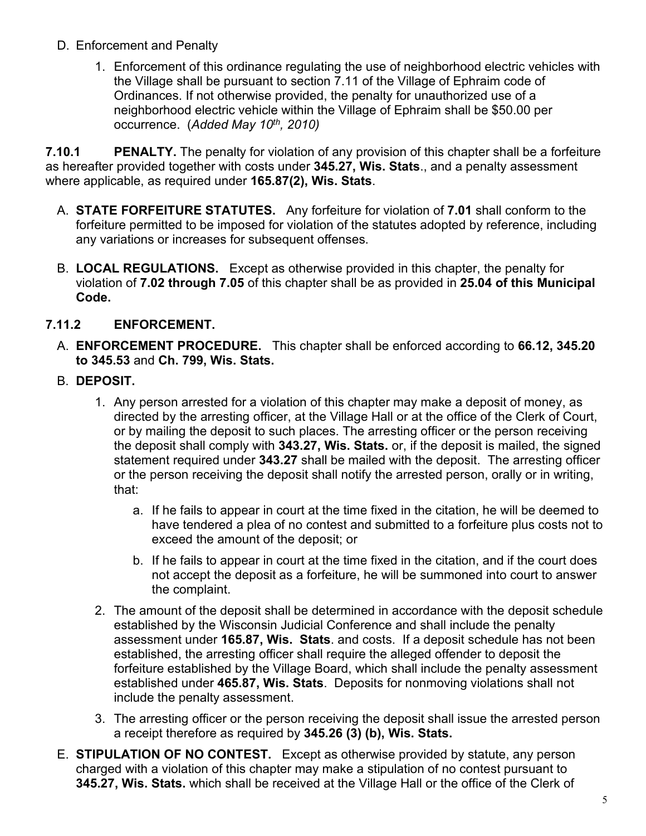- D. Enforcement and Penalty
	- 1. Enforcement of this ordinance regulating the use of neighborhood electric vehicles with the Village shall be pursuant to section 7.11 of the Village of Ephraim code of Ordinances. If not otherwise provided, the penalty for unauthorized use of a neighborhood electric vehicle within the Village of Ephraim shall be \$50.00 per occurrence. (*Added May 10th, 2010)*

<span id="page-4-0"></span>**7.10.1 PENALTY.** The penalty for violation of any provision of this chapter shall be a forfeiture as hereafter provided together with costs under **345.27, Wis. Stats**., and a penalty assessment where applicable, as required under **165.87(2), Wis. Stats**.

- A. **STATE FORFEITURE STATUTES.** Any forfeiture for violation of **7.01** shall conform to the forfeiture permitted to be imposed for violation of the statutes adopted by reference, including any variations or increases for subsequent offenses.
- B. **LOCAL REGULATIONS.** Except as otherwise provided in this chapter, the penalty for violation of **7.02 through 7.05** of this chapter shall be as provided in **25.04 of this Municipal Code.**

## **7.11.2 ENFORCEMENT.**

- <span id="page-4-1"></span>A. **ENFORCEMENT PROCEDURE.** This chapter shall be enforced according to **66.12, 345.20 to 345.53** and **Ch. 799, Wis. Stats.**
- B. **DEPOSIT.** 
	- 1. Any person arrested for a violation of this chapter may make a deposit of money, as directed by the arresting officer, at the Village Hall or at the office of the Clerk of Court, or by mailing the deposit to such places. The arresting officer or the person receiving the deposit shall comply with **343.27, Wis. Stats.** or, if the deposit is mailed, the signed statement required under **343.27** shall be mailed with the deposit. The arresting officer or the person receiving the deposit shall notify the arrested person, orally or in writing, that:
		- a. If he fails to appear in court at the time fixed in the citation, he will be deemed to have tendered a plea of no contest and submitted to a forfeiture plus costs not to exceed the amount of the deposit; or
		- b. If he fails to appear in court at the time fixed in the citation, and if the court does not accept the deposit as a forfeiture, he will be summoned into court to answer the complaint.
	- 2. The amount of the deposit shall be determined in accordance with the deposit schedule established by the Wisconsin Judicial Conference and shall include the penalty assessment under **165.87, Wis. Stats**. and costs. If a deposit schedule has not been established, the arresting officer shall require the alleged offender to deposit the forfeiture established by the Village Board, which shall include the penalty assessment established under **465.87, Wis. Stats**. Deposits for nonmoving violations shall not include the penalty assessment.
	- 3. The arresting officer or the person receiving the deposit shall issue the arrested person a receipt therefore as required by **345.26 (3) (b), Wis. Stats.**
- E. **STIPULATION OF NO CONTEST.** Except as otherwise provided by statute, any person charged with a violation of this chapter may make a stipulation of no contest pursuant to **345.27, Wis. Stats.** which shall be received at the Village Hall or the office of the Clerk of